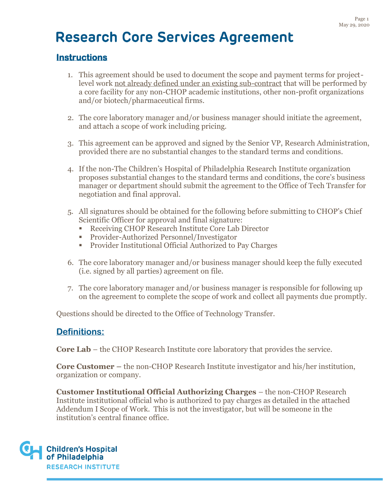## **Instructions**

- 1. This agreement should be used to document the scope and payment terms for projectlevel work not already defined under an existing sub-contract that will be performed by a core facility for any non-CHOP academic institutions, other non-profit organizations and/or biotech/pharmaceutical firms.
- 2. The core laboratory manager and/or business manager should initiate the agreement, and attach a scope of work including pricing.
- 3. This agreement can be approved and signed by the Senior VP, Research Administration, provided there are no substantial changes to the standard terms and conditions.
- 4. If the non-The Children's Hospital of Philadelphia Research Institute organization proposes substantial changes to the standard terms and conditions, the core's business manager or department should submit the agreement to the Office of Tech Transfer for negotiation and final approval.
- 5. All signatures should be obtained for the following before submitting to CHOP's Chief Scientific Officer for approval and final signature:
	- Receiving CHOP Research Institute Core Lab Director
	- Provider-Authorized Personnel/Investigator
	- Provider Institutional Official Authorized to Pay Charges
- 6. The core laboratory manager and/or business manager should keep the fully executed (i.e. signed by all parties) agreement on file.
- 7. The core laboratory manager and/or business manager is responsible for following up on the agreement to complete the scope of work and collect all payments due promptly.

Questions should be directed to the Office of Technology Transfer.

# **Definitions:**

**Core Lab** – the CHOP Research Institute core laboratory that provides the service.

**Core Customer –** the non-CHOP Research Institute investigator and his/her institution, organization or company.

**Customer Institutional Official Authorizing Charges** – the non-CHOP Research Institute institutional official who is authorized to pay charges as detailed in the attached Addendum I Scope of Work. This is not the investigator, but will be someone in the institution's central finance office.

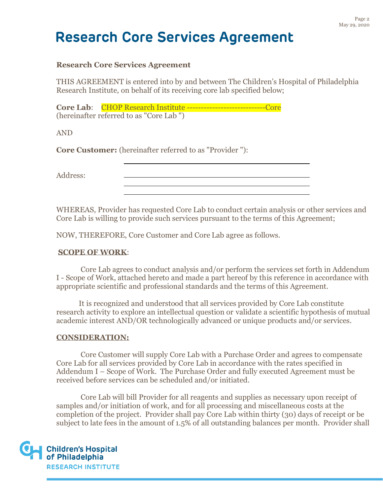### **Research Core Services Agreement**

THIS AGREEMENT is entered into by and between The Children's Hospital of Philadelphia Research Institute, on behalf of its receiving core lab specified below;

**Core Lab:** CHOP Research Institute --------------------------------Core (hereinafter referred to as "Core Lab ")

AND

**Core Customer:** (hereinafter referred to as "Provider "):

Address:

WHEREAS, Provider has requested Core Lab to conduct certain analysis or other services and Core Lab is willing to provide such services pursuant to the terms of this Agreement;

NOW, THEREFORE, Core Customer and Core Lab agree as follows.

#### **SCOPE OF WORK**:

Core Lab agrees to conduct analysis and/or perform the services set forth in Addendum I - Scope of Work, attached hereto and made a part hereof by this reference in accordance with appropriate scientific and professional standards and the terms of this Agreement.

It is recognized and understood that all services provided by Core Lab constitute research activity to explore an intellectual question or validate a scientific hypothesis of mutual academic interest AND/OR technologically advanced or unique products and/or services.

#### **CONSIDERATION:**

Core Customer will supply Core Lab with a Purchase Order and agrees to compensate Core Lab for all services provided by Core Lab in accordance with the rates specified in Addendum I – Scope of Work. The Purchase Order and fully executed Agreement must be received before services can be scheduled and/or initiated.

Core Lab will bill Provider for all reagents and supplies as necessary upon receipt of samples and/or initiation of work, and for all processing and miscellaneous costs at the completion of the project. Provider shall pay Core Lab within thirty (30) days of receipt or be subject to late fees in the amount of 1.5% of all outstanding balances per month. Provider shall

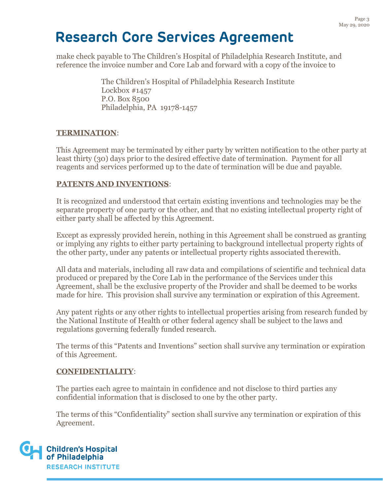make check payable to The Children's Hospital of Philadelphia Research Institute, and reference the invoice number and Core Lab and forward with a copy of the invoice to

> The Children's Hospital of Philadelphia Research Institute Lockbox #1457 P.O. Box 8500 Philadelphia, PA 19178-1457

## **TERMINATION**:

This Agreement may be terminated by either party by written notification to the other party at least thirty (30) days prior to the desired effective date of termination. Payment for all reagents and services performed up to the date of termination will be due and payable.

## **PATENTS AND INVENTIONS**:

It is recognized and understood that certain existing inventions and technologies may be the separate property of one party or the other, and that no existing intellectual property right of either party shall be affected by this Agreement.

Except as expressly provided herein, nothing in this Agreement shall be construed as granting or implying any rights to either party pertaining to background intellectual property rights of the other party, under any patents or intellectual property rights associated therewith.

All data and materials, including all raw data and compilations of scientific and technical data produced or prepared by the Core Lab in the performance of the Services under this Agreement, shall be the exclusive property of the Provider and shall be deemed to be works made for hire. This provision shall survive any termination or expiration of this Agreement.

Any patent rights or any other rights to intellectual properties arising from research funded by the National Institute of Health or other federal agency shall be subject to the laws and regulations governing federally funded research.

The terms of this "Patents and Inventions" section shall survive any termination or expiration of this Agreement.

### **CONFIDENTIALITY**:

The parties each agree to maintain in confidence and not disclose to third parties any confidential information that is disclosed to one by the other party.

The terms of this "Confidentiality" section shall survive any termination or expiration of this Agreement.